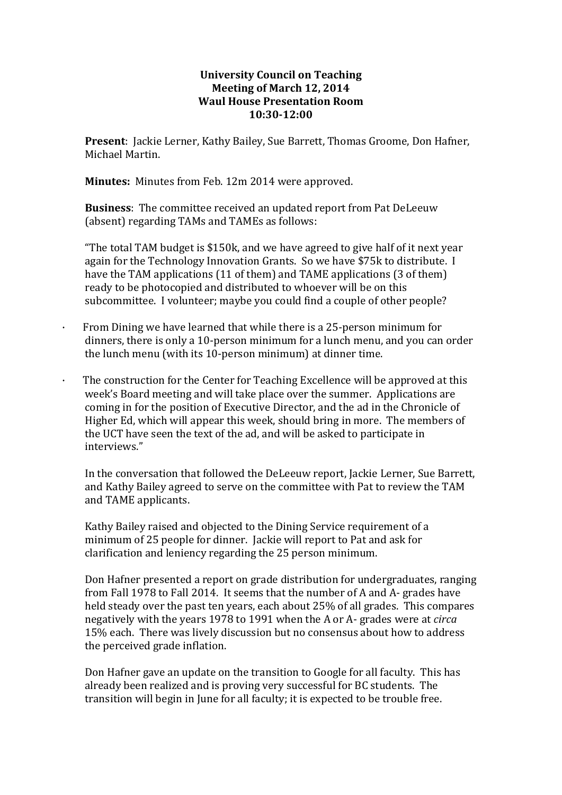## **University Council on Teaching Meeting of March 12, 2014 Waul House Presentation Room 10:30-12:00**

**Present**: Jackie Lerner, Kathy Bailey, Sue Barrett, Thomas Groome, Don Hafner, Michael Martin.

**Minutes:** Minutes from Feb. 12m 2014 were approved.

**Business**: The committee received an updated report from Pat DeLeeuw (absent) regarding TAMs and TAMEs as follows:

"The total TAM budget is \$150k, and we have agreed to give half of it next year again for the Technology Innovation Grants. So we have \$75k to distribute. I have the TAM applications (11 of them) and TAME applications (3 of them) ready to be photocopied and distributed to whoever will be on this subcommittee. I volunteer; maybe you could find a couple of other people?

- · From Dining we have learned that while there is a 25-person minimum for dinners, there is only a 10-person minimum for a lunch menu, and you can order the lunch menu (with its 10-person minimum) at dinner time.
- The construction for the Center for Teaching Excellence will be approved at this week's Board meeting and will take place over the summer. Applications are coming in for the position of Executive Director, and the ad in the Chronicle of Higher Ed, which will appear this week, should bring in more. The members of the UCT have seen the text of the ad, and will be asked to participate in interviews."

In the conversation that followed the DeLeeuw report, Jackie Lerner, Sue Barrett, and Kathy Bailey agreed to serve on the committee with Pat to review the TAM and TAME applicants.

Kathy Bailey raised and objected to the Dining Service requirement of a minimum of 25 people for dinner. Jackie will report to Pat and ask for clarification and leniency regarding the 25 person minimum.

Don Hafner presented a report on grade distribution for undergraduates, ranging from Fall 1978 to Fall 2014. It seems that the number of A and A- grades have held steady over the past ten years, each about 25% of all grades. This compares negatively with the years 1978 to 1991 when the A or A- grades were at *circa* 15% each. There was lively discussion but no consensus about how to address the perceived grade inflation.

Don Hafner gave an update on the transition to Google for all faculty. This has already been realized and is proving very successful for BC students. The transition will begin in June for all faculty; it is expected to be trouble free.